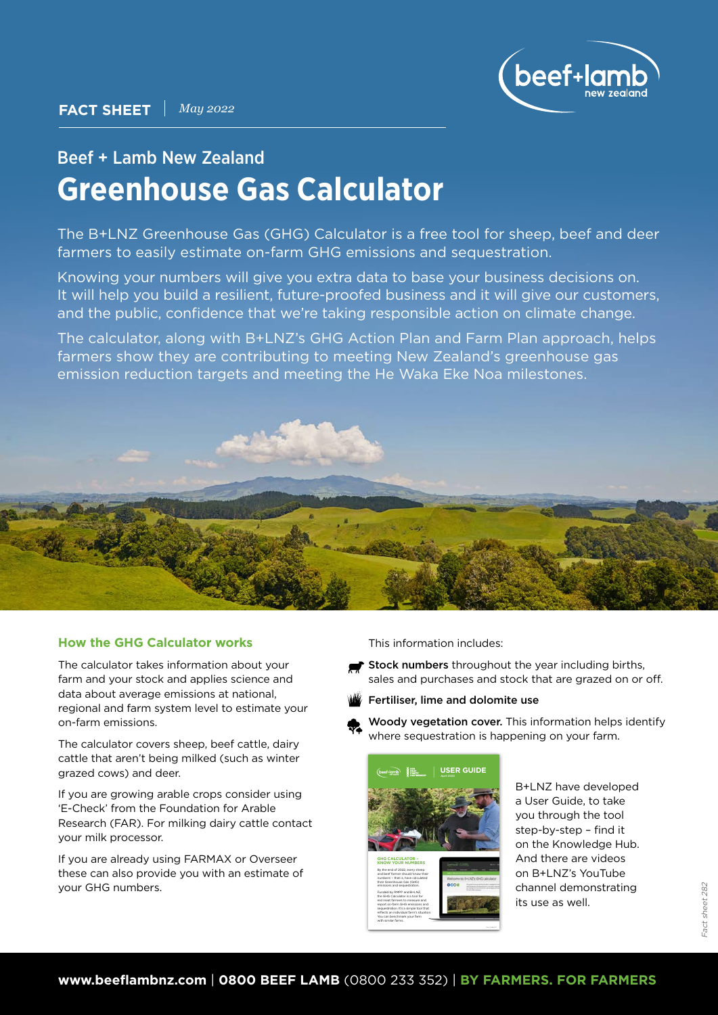

# Beef + Lamb New Zealand **Greenhouse Gas Calculator**

The B+LNZ Greenhouse Gas (GHG) Calculator is a free tool for sheep, beef and deer farmers to easily estimate on-farm GHG emissions and sequestration.

Knowing your numbers will give you extra data to base your business decisions on. It will help you build a resilient, future-proofed business and it will give our customers, and the public, confidence that we're taking responsible action on climate change.

The calculator, along with B+LNZ's GHG Action Plan and Farm Plan approach, helps farmers show they are contributing to meeting New Zealand's greenhouse gas emission reduction targets and meeting the He Waka Eke Noa milestones.



# **How the GHG Calculator works**

The calculator takes information about your farm and your stock and applies science and data about average emissions at national, regional and farm system level to estimate your on-farm emissions.

The calculator covers sheep, beef cattle, dairy cattle that aren't being milked (such as winter grazed cows) and deer.

If you are growing arable crops consider using 'E-Check' from the Foundation for Arable Research (FAR). For milking dairy cattle contact your milk processor.

If you are already using FARMAX or Overseer these can also provide you with an estimate of your GHG numbers.

This information includes:

- Stock numbers throughout the year including births, sales and purchases and stock that are grazed on or off.
- Fertiliser, lime and dolomite use





red meat farmers to measure and report on-farm GHG emissions and sequestration. It's a simple tool that reflects an individual farm's situation. You can benchmark your farm with similar farms.

B+LNZ have developed a User Guide, to take you through the tool step-by-step – find it on the Knowledge Hub. And there are videos on B+LNZ's YouTube channel demonstrating its use as well.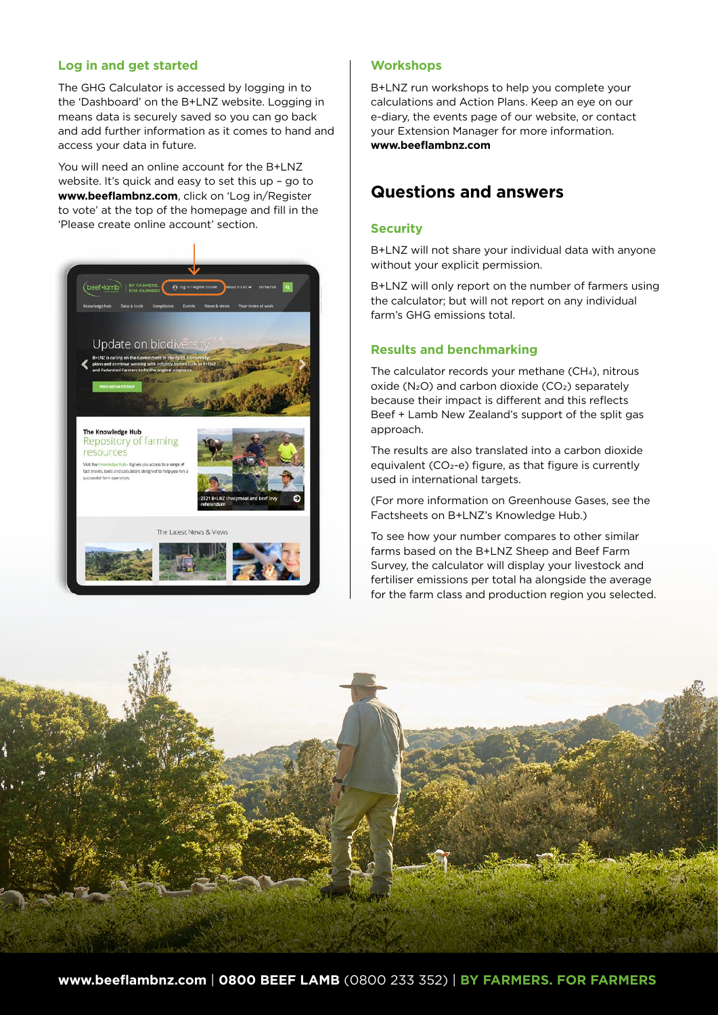# **Log in and get started**

The GHG Calculator is accessed by logging in to the 'Dashboard' on the B+LNZ website. Logging in means data is securely saved so you can go back and add further information as it comes to hand and access your data in future.

You will need an online account for the B+LNZ website. It's quick and easy to set this up – go to **www.beeflambnz.com**, click on 'Log in/Register to vote' at the top of the homepage and fill in the 'Please create online account' section.



#### **Workshops**

B+LNZ run workshops to help you complete your calculations and Action Plans. Keep an eye on our e-diary, the events page of our website, or contact your Extension Manager for more information. **[www.beeflambnz.com](http://www.beeflambnz.com)**

# **Questions and answers**

#### **Security**

B+LNZ will not share your individual data with anyone without your explicit permission.

B+LNZ will only report on the number of farmers using the calculator; but will not report on any individual farm's GHG emissions total.

## **Results and benchmarking**

The calculator records your methane (CH4), nitrous  $o$ xide (N<sub>2</sub>O) and carbon dioxide ( $CO<sub>2</sub>$ ) separately because their impact is different and this reflects Beef + Lamb New Zealand's support of the split gas approach.

The results are also translated into a carbon dioxide equivalent (CO<sub>2</sub>-e) figure, as that figure is currently used in international targets.

(For more information on Greenhouse Gases, see the Factsheets on B+LNZ's Knowledge Hub.)

To see how your number compares to other similar farms based on the B+LNZ Sheep and Beef Farm Survey, the calculator will display your livestock and fertiliser emissions per total ha alongside the average for the farm class and production region you selected.

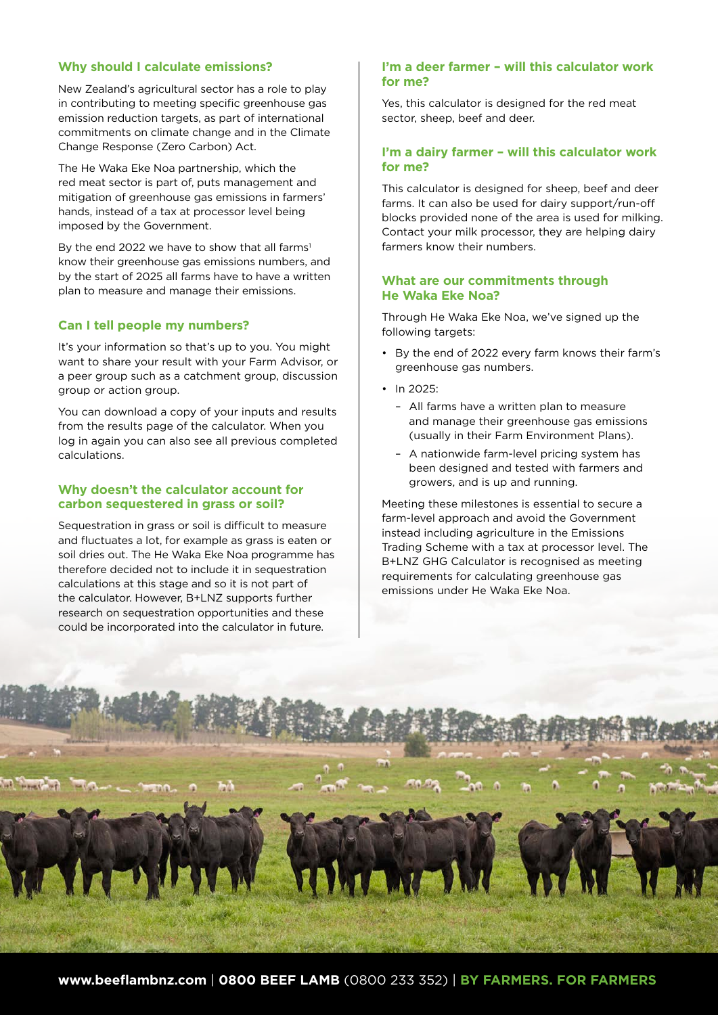# **Why should I calculate emissions?**

New Zealand's agricultural sector has a role to play in contributing to meeting specific greenhouse gas emission reduction targets, as part of international commitments on climate change and in the Climate Change Response (Zero Carbon) Act.

The He Waka Eke Noa partnership, which the red meat sector is part of, puts management and mitigation of greenhouse gas emissions in farmers' hands, instead of a tax at processor level being imposed by the Government.

By the end 2022 we have to show that all farms<sup>1</sup> know their greenhouse gas emissions numbers, and by the start of 2025 all farms have to have a written plan to measure and manage their emissions.

## **Can I tell people my numbers?**

It's your information so that's up to you. You might want to share your result with your Farm Advisor, or a peer group such as a catchment group, discussion group or action group.

You can download a copy of your inputs and results from the results page of the calculator. When you log in again you can also see all previous completed calculations.

#### **Why doesn't the calculator account for carbon sequestered in grass or soil?**

Sequestration in grass or soil is difficult to measure and fluctuates a lot, for example as grass is eaten or soil dries out. The He Waka Eke Noa programme has therefore decided not to include it in sequestration calculations at this stage and so it is not part of the calculator. However, B+LNZ supports further research on sequestration opportunities and these could be incorporated into the calculator in future.

#### **I'm a deer farmer – will this calculator work for me?**

Yes, this calculator is designed for the red meat sector, sheep, beef and deer.

# **I'm a dairy farmer – will this calculator work for me?**

This calculator is designed for sheep, beef and deer farms. It can also be used for dairy support/run-off blocks provided none of the area is used for milking. Contact your milk processor, they are helping dairy farmers know their numbers.

#### **What are our commitments through He Waka Eke Noa?**

Through He Waka Eke Noa, we've signed up the following targets:

- By the end of 2022 every farm knows their farm's greenhouse gas numbers.
- In 2025:
	- All farms have a written plan to measure and manage their greenhouse gas emissions (usually in their Farm Environment Plans).
	- A nationwide farm-level pricing system has been designed and tested with farmers and growers, and is up and running.

Meeting these milestones is essential to secure a farm-level approach and avoid the Government instead including agriculture in the Emissions Trading Scheme with a tax at processor level. The B+LNZ GHG Calculator is recognised as meeting requirements for calculating greenhouse gas emissions under He Waka Eke Noa.